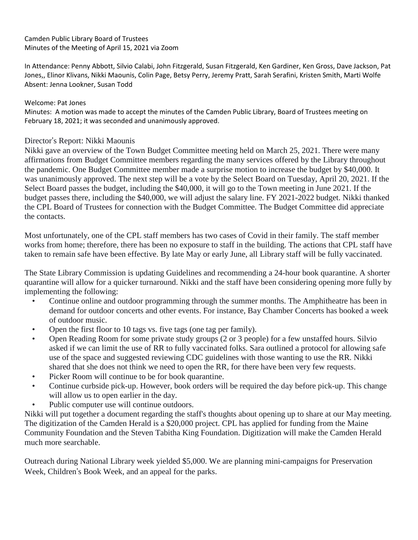### Camden Public Library Board of Trustees Minutes of the Meeting of April 15, 2021 via Zoom

In Attendance: Penny Abbott, Silvio Calabi, John Fitzgerald, Susan Fitzgerald, Ken Gardiner, Ken Gross, Dave Jackson, Pat Jones,, Elinor Klivans, Nikki Maounis, Colin Page, Betsy Perry, Jeremy Pratt, Sarah Serafini, Kristen Smith, Marti Wolfe Absent: Jenna Lookner, Susan Todd

### Welcome: Pat Jones

Minutes: A motion was made to accept the minutes of the Camden Public Library, Board of Trustees meeting on February 18, 2021; it was seconded and unanimously approved.

## Director's Report: Nikki Maounis

Nikki gave an overview of the Town Budget Committee meeting held on March 25, 2021. There were many affirmations from Budget Committee members regarding the many services offered by the Library throughout the pandemic. One Budget Committee member made a surprise motion to increase the budget by \$40,000. It was unanimously approved. The next step will be a vote by the Select Board on Tuesday, April 20, 2021. If the Select Board passes the budget, including the \$40,000, it will go to the Town meeting in June 2021. If the budget passes there, including the \$40,000, we will adjust the salary line. FY 2021-2022 budget. Nikki thanked the CPL Board of Trustees for connection with the Budget Committee. The Budget Committee did appreciate the contacts.

Most unfortunately, one of the CPL staff members has two cases of Covid in their family. The staff member works from home; therefore, there has been no exposure to staff in the building. The actions that CPL staff have taken to remain safe have been effective. By late May or early June, all Library staff will be fully vaccinated.

The State Library Commission is updating Guidelines and recommending a 24-hour book quarantine. A shorter quarantine will allow for a quicker turnaround. Nikki and the staff have been considering opening more fully by implementing the following:

- Continue online and outdoor programming through the summer months. The Amphitheatre has been in demand for outdoor concerts and other events. For instance, Bay Chamber Concerts has booked a week of outdoor music.
- Open the first floor to 10 tags vs. five tags (one tag per family).
- Open Reading Room for some private study groups (2 or 3 people) for a few unstaffed hours. Silvio asked if we can limit the use of RR to fully vaccinated folks. Sara outlined a protocol for allowing safe use of the space and suggested reviewing CDC guidelines with those wanting to use the RR. Nikki shared that she does not think we need to open the RR, for there have been very few requests.
- Picker Room will continue to be for book quarantine.
- Continue curbside pick-up. However, book orders will be required the day before pick-up. This change will allow us to open earlier in the day.
- Public computer use will continue outdoors.

Nikki will put together a document regarding the staff's thoughts about opening up to share at our May meeting. The digitization of the Camden Herald is a \$20,000 project. CPL has applied for funding from the Maine Community Foundation and the Steven Tabitha King Foundation. Digitization will make the Camden Herald much more searchable.

Outreach during National Library week yielded \$5,000. We are planning mini-campaigns for Preservation Week, Children's Book Week, and an appeal for the parks.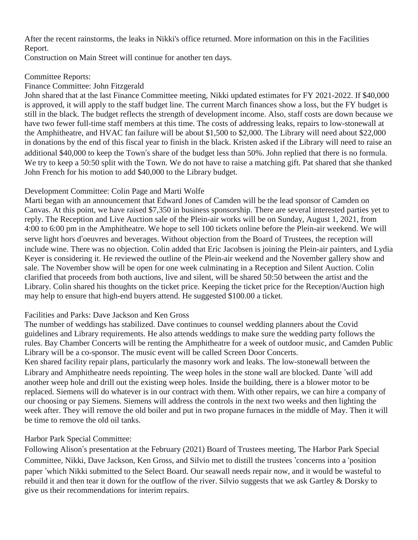After the recent rainstorms, the leaks in Nikki's office returned. More information on this in the Facilities Report.

Construction on Main Street will continue for another ten days.

## Committee Reports:

## Finance Committee: John Fitzgerald

John shared that at the last Finance Committee meeting, Nikki updated estimates for FY 2021-2022. If \$40,000 is approved, it will apply to the staff budget line. The current March finances show a loss, but the FY budget is still in the black. The budget reflects the strength of development income. Also, staff costs are down because we have two fewer full-time staff members at this time. The costs of addressing leaks, repairs to low-stonewall at the Amphitheatre, and HVAC fan failure will be about \$1,500 to \$2,000. The Library will need about \$22,000 in donations by the end of this fiscal year to finish in the black. Kristen asked if the Library will need to raise an additional \$40,000 to keep the Town's share of the budget less than 50%. John replied that there is no formula. We try to keep a 50:50 split with the Town. We do not have to raise a matching gift. Pat shared that she thanked John French for his motion to add \$40,000 to the Library budget.

# Development Committee: Colin Page and Marti Wolfe

Marti began with an announcement that Edward Jones of Camden will be the lead sponsor of Camden on Canvas. At this point, we have raised \$7,350 in business sponsorship. There are several interested parties yet to reply. The Reception and Live Auction sale of the Plein-air works will be on Sunday, August 1, 2021, from 4:00 to 6:00 pm in the Amphitheatre. We hope to sell 100 tickets online before the Plein-air weekend. We will serve light hors d'oeuvres and beverages. Without objection from the Board of Trustees, the reception will include wine. There was no objection. Colin added that Eric Jacobsen is joining the Plein-air painters, and Lydia Keyer is considering it. He reviewed the outline of the Plein-air weekend and the November gallery show and sale. The November show will be open for one week culminating in a Reception and Silent Auction. Colin clarified that proceeds from both auctions, live and silent, will be shared 50:50 between the artist and the Library. Colin shared his thoughts on the ticket price. Keeping the ticket price for the Reception/Auction high may help to ensure that high-end buyers attend. He suggested \$100.00 a ticket.

# Facilities and Parks: Dave Jackson and Ken Gross

The number of weddings has stabilized. Dave continues to counsel wedding planners about the Covid guidelines and Library requirements. He also attends weddings to make sure the wedding party follows the rules. Bay Chamber Concerts will be renting the Amphitheatre for a week of outdoor music, and Camden Public Library will be a co-sponsor. The music event will be called Screen Door Concerts.

Ken shared facility repair plans, particularly the masonry work and leaks. The low-stonewall between the Library and Amphitheatre needs repointing. The weep holes in the stone wall are blocked. Dante 'will add another weep hole and drill out the existing weep holes. Inside the building, there is a blower motor to be replaced. Siemens will do whatever is in our contract with them. With other repairs, we can hire a company of our choosing or pay Siemens. Siemens will address the controls in the next two weeks and then lighting the week after. They will remove the old boiler and put in two propane furnaces in the middle of May. Then it will be time to remove the old oil tanks.

# Harbor Park Special Committee:

Following Alison's presentation at the February (2021) Board of Trustees meeting, The Harbor Park Special Committee, Nikki, Dave Jackson, Ken Gross, and Silvio met to distill the trustees 'concerns into a 'position paper 'which Nikki submitted to the Select Board. Our seawall needs repair now, and it would be wasteful to rebuild it and then tear it down for the outflow of the river. Silvio suggests that we ask Gartley & Dorsky to give us their recommendations for interim repairs.